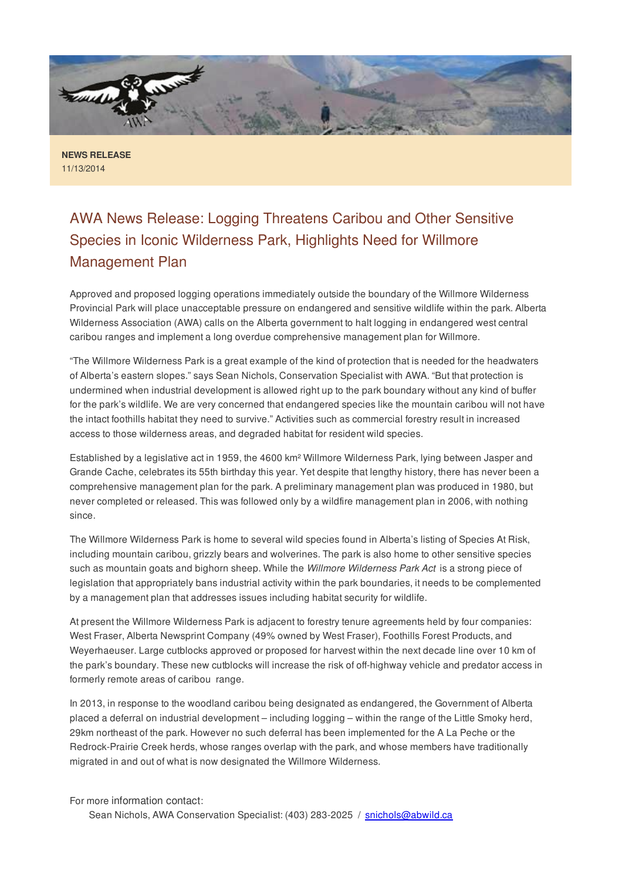

**NEWS RELEASE** 11/13/2014

## AWA News Release: Logging Threatens Caribou and Other Sensitive Species in Iconic Wilderness Park, Highlights Need for Willmore Management Plan

Approved and proposed logging operations immediately outside the boundary of the Willmore Wilderness Provincial Park will place unacceptable pressure on endangered and sensitive wildlife within the park. Alberta Wilderness Association (AWA) calls on the Alberta government to halt logging in endangered west central caribou ranges and implement a long overdue comprehensive management plan for Willmore.

"The Willmore Wilderness Park is a great example of the kind of protection that is needed for the headwaters of Alberta's eastern slopes." says Sean Nichols, Conservation Specialist with AWA. "But that protection is undermined when industrial development is allowed right up to the park boundary without any kind of buffer for the park's wildlife. We are very concerned that endangered species like the mountain caribou will not have the intact foothills habitat they need to survive." Activities such as commercial forestry result in increased access to those wilderness areas, and degraded habitat for resident wild species.

Established by a legislative act in 1959, the 4600 km² Willmore Wilderness Park, lying between Jasper and Grande Cache, celebrates its 55th birthday this year. Yet despite that lengthy history, there has never been a comprehensive management plan for the park. A preliminary management plan was produced in 1980, but never completed or released. This was followed only by a wildfire management plan in 2006, with nothing since.

The Willmore Wilderness Park is home to several wild species found in Alberta's listing of Species At Risk, including mountain caribou, grizzly bears and wolverines. The park is also home to other sensitive species such as mountain goats and bighorn sheep. While the *Willmore Wilderness Park Act* is a strong piece of legislation that appropriately bans industrial activity within the park boundaries, it needs to be complemented by a management plan that addresses issues including habitat security for wildlife.

At present the Willmore Wilderness Park is adjacent to forestry tenure agreements held by four companies: West Fraser, Alberta Newsprint Company (49% owned by West Fraser), Foothills Forest Products, and Weyerhaeuser. Large cutblocks approved or proposed for harvest within the next decade line over 10 km of the park's boundary. These new cutblocks will increase the risk of off-highway vehicle and predator access in formerly remote areas of caribou range.

In 2013, in response to the woodland caribou being designated as endangered, the Government of Alberta placed a deferral on industrial development – including logging – within the range of the Little Smoky herd, 29km northeast of the park. However no such deferral has been implemented for the A La Peche or the Redrock-Prairie Creek herds, whose ranges overlap with the park, and whose members have traditionally migrated in and out of what is now designated the Willmore Wilderness.

For more information contact:

Sean Nichols, AWA Conservation Specialist: (403) 283-2025 / snichols@abwild.ca